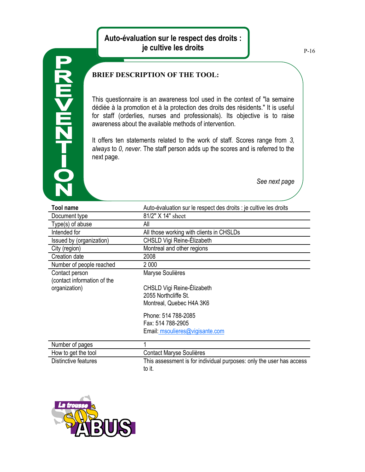## **Auto-évaluation sur le respect des droits : je cultive les droits**



## **BRIEF DESCRIPTION OF THE TOOL:**

This questionnaire is an awareness tool used in the context of "la semaine dédiée à la promotion et à la protection des droits des résidents." It is useful for staff (orderlies, nurses and professionals). Its objective is to raise awareness about the available methods of intervention.

It offers ten statements related to the work of staff. Scores range from *3, always* to *0, never*. The staff person adds up the scores and is referred to the next page.

*See next page*

| <b>Tool name</b>                              | Auto-évaluation sur le respect des droits : je cultive les droits    |
|-----------------------------------------------|----------------------------------------------------------------------|
| Document type                                 | 81/2" X 14" sheet                                                    |
| Type(s) of abuse                              | All                                                                  |
| Intended for                                  | All those working with clients in CHSLDs                             |
| Issued by (organization)                      | CHSLD Vigi Reine-Elizabeth                                           |
| City (region)                                 | Montreal and other regions                                           |
| Creation date                                 | 2008                                                                 |
| Number of people reached                      | 2 0 0 0                                                              |
| Contact person<br>(contact information of the | Maryse Soulières                                                     |
| organization)                                 | CHSLD Vigi Reine-Élizabeth                                           |
|                                               | 2055 Northcliffe St.                                                 |
|                                               | Montreal, Quebec H4A 3K6                                             |
|                                               | Phone: 514 788-2085                                                  |
|                                               | Fax: 514 788-2905                                                    |
|                                               | Email: msoulieres@vigisante.com                                      |
| Number of pages                               | 1                                                                    |
| How to get the tool                           | Contact Maryse Soulières                                             |
| Distinctive features                          | This assessment is for individual purposes: only the user has access |
|                                               | to it.                                                               |